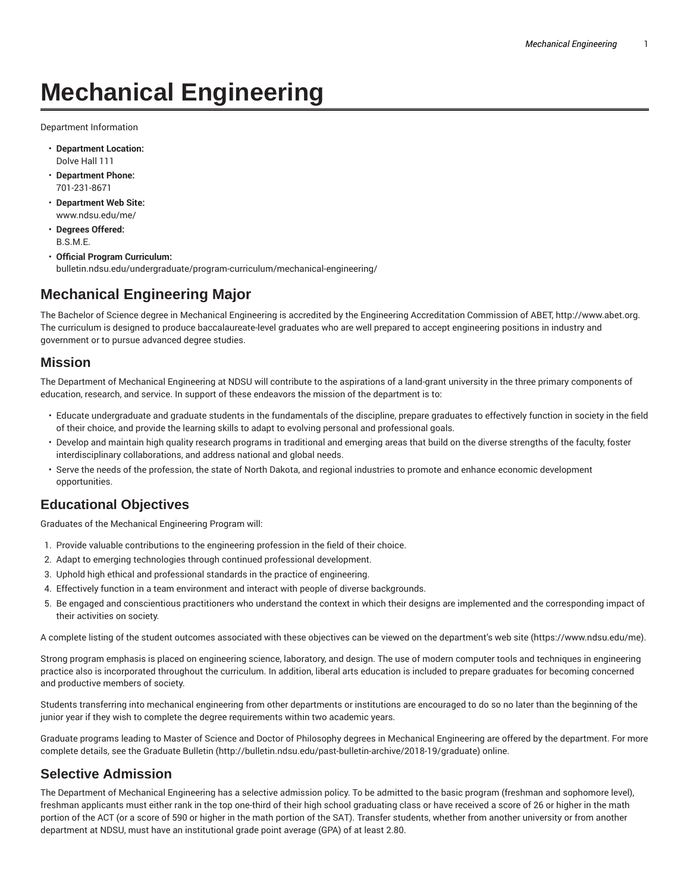# **Mechanical Engineering**

Department Information

- **Department Location:** Dolve Hall 111
- **Department Phone:** 701-231-8671
- **Department Web Site:** www.ndsu.edu/me/
- **Degrees Offered:** B.S.M.E.
- **Official Program Curriculum:** bulletin.ndsu.edu/undergraduate/program-curriculum/mechanical-engineering/

# **Mechanical Engineering Major**

The Bachelor of Science degree in Mechanical Engineering is accredited by the Engineering Accreditation Commission of ABET, http://www.abet.org. The curriculum is designed to produce baccalaureate-level graduates who are well prepared to accept engineering positions in industry and government or to pursue advanced degree studies.

#### **Mission**

The Department of Mechanical Engineering at NDSU will contribute to the aspirations of a land-grant university in the three primary components of education, research, and service. In support of these endeavors the mission of the department is to:

- Educate undergraduate and graduate students in the fundamentals of the discipline, prepare graduates to effectively function in society in the field of their choice, and provide the learning skills to adapt to evolving personal and professional goals.
- Develop and maintain high quality research programs in traditional and emerging areas that build on the diverse strengths of the faculty, foster interdisciplinary collaborations, and address national and global needs.
- Serve the needs of the profession, the state of North Dakota, and regional industries to promote and enhance economic development opportunities.

### **Educational Objectives**

Graduates of the Mechanical Engineering Program will:

- 1. Provide valuable contributions to the engineering profession in the field of their choice.
- 2. Adapt to emerging technologies through continued professional development.
- 3. Uphold high ethical and professional standards in the practice of engineering.
- 4. Effectively function in a team environment and interact with people of diverse backgrounds.
- 5. Be engaged and conscientious practitioners who understand the context in which their designs are implemented and the corresponding impact of their activities on society.

A complete listing of the student outcomes associated with these objectives can be viewed on the department's web site (https://www.ndsu.edu/me).

Strong program emphasis is placed on engineering science, laboratory, and design. The use of modern computer tools and techniques in engineering practice also is incorporated throughout the curriculum. In addition, liberal arts education is included to prepare graduates for becoming concerned and productive members of society.

Students transferring into mechanical engineering from other departments or institutions are encouraged to do so no later than the beginning of the junior year if they wish to complete the degree requirements within two academic years.

Graduate programs leading to Master of Science and Doctor of Philosophy degrees in Mechanical Engineering are offered by the department. For more complete details, see the Graduate Bulletin (http://bulletin.ndsu.edu/past-bulletin-archive/2018-19/graduate) online.

# **Selective Admission**

The Department of Mechanical Engineering has a selective admission policy. To be admitted to the basic program (freshman and sophomore level), freshman applicants must either rank in the top one-third of their high school graduating class or have received a score of 26 or higher in the math portion of the ACT (or a score of 590 or higher in the math portion of the SAT). Transfer students, whether from another university or from another department at NDSU, must have an institutional grade point average (GPA) of at least 2.80.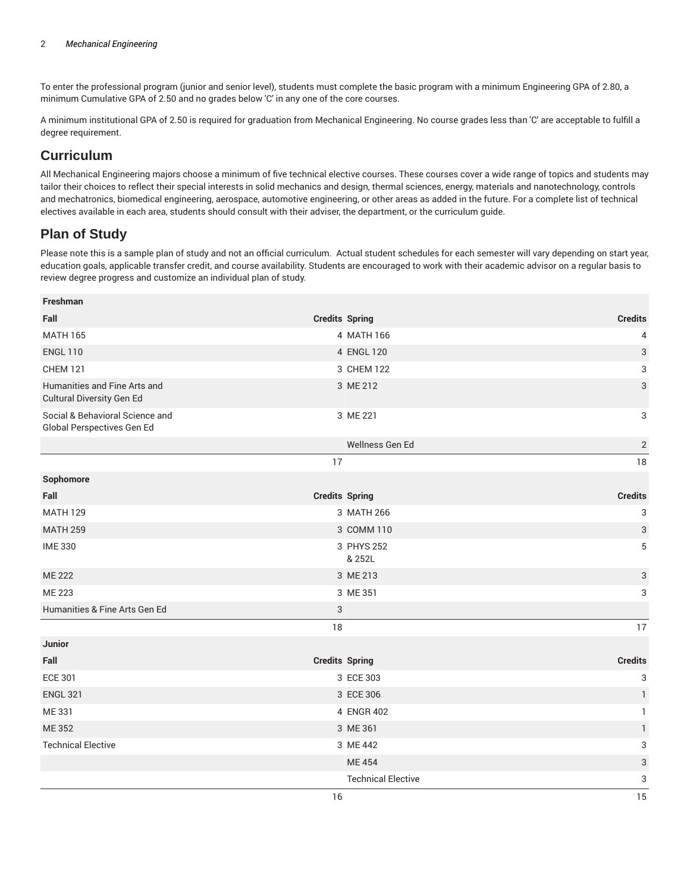To enter the professional program (junior and senior level), students must complete the basic program with a minimum Engineering GPA of 2.80, a minimum Cumulative GPA of 2.50 and no grades below 'C' in any one of the core courses.

A minimum institutional GPA of 2.50 is required for graduation from Mechanical Engineering. No course grades less than 'C' are acceptable to fulfill a degree requirement.

### **Curriculum**

All Mechanical Engineering majors choose a minimum of five technical elective courses. These courses cover a wide range of topics and students may tailor their choices to reflect their special interests in solid mechanics and design, thermal sciences, energy, materials and nanotechnology, controls and mechatronics, biomedical engineering, aerospace, automotive engineering, or other areas as added in the future. For a complete list of technical electives available in each area, students should consult with their adviser, the department, or the curriculum guide.

## **Plan of Study**

Please note this is a sample plan of study and not an official curriculum. Actual student schedules for each semester will vary depending on start year, education goals, applicable transfer credit, and course availability. Students are encouraged to work with their academic advisor on a regular basis to review degree progress and customize an individual plan of study.

| Freshman                                                      |                       |                           |                |
|---------------------------------------------------------------|-----------------------|---------------------------|----------------|
| Fall                                                          | <b>Credits Spring</b> |                           | <b>Credits</b> |
| <b>MATH 165</b>                                               |                       | 4 MATH 166                | 4              |
| <b>ENGL 110</b>                                               |                       | 4 ENGL 120                | 3              |
| <b>CHEM 121</b>                                               |                       | 3 CHEM 122                | 3              |
| Humanities and Fine Arts and<br>Cultural Diversity Gen Ed     |                       | 3 ME 212                  | 3              |
| Social & Behavioral Science and<br>Global Perspectives Gen Ed |                       | 3 ME 221                  | 3              |
|                                                               |                       | Wellness Gen Ed           | $\sqrt{2}$     |
|                                                               | 17                    |                           | 18             |
| Sophomore                                                     |                       |                           |                |
| Fall                                                          | <b>Credits Spring</b> |                           | <b>Credits</b> |
| <b>MATH 129</b>                                               |                       | 3 MATH 266                | 3              |
| <b>MATH 259</b>                                               |                       | 3 COMM 110                | $\sqrt{3}$     |
| <b>IME 330</b>                                                |                       | 3 PHYS 252<br>& 252L      | 5              |
| <b>ME 222</b>                                                 |                       | 3 ME 213                  | 3              |
| <b>ME 223</b>                                                 |                       | 3 ME 351                  | 3              |
| Humanities & Fine Arts Gen Ed                                 | 3                     |                           |                |
|                                                               | 18                    |                           | 17             |
| Junior                                                        |                       |                           |                |
| Fall                                                          | <b>Credits Spring</b> |                           | <b>Credits</b> |
| <b>ECE 301</b>                                                |                       | 3 ECE 303                 | 3              |
| <b>ENGL 321</b>                                               |                       | 3 ECE 306                 | $\mathbf{1}$   |
| ME 331                                                        |                       | 4 ENGR 402                | $\mathbf{1}$   |
| ME 352                                                        |                       | 3 ME 361                  | $\mathbf{1}$   |
| <b>Technical Elective</b>                                     |                       | 3 ME 442                  | 3              |
|                                                               |                       | <b>ME454</b>              | 3              |
|                                                               |                       | <b>Technical Elective</b> | 3              |
|                                                               | 16                    |                           | 15             |